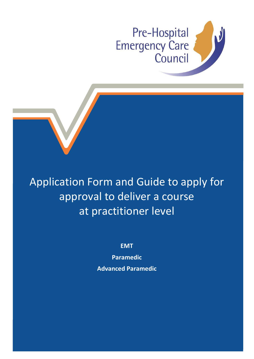

Application Form and Guide to apply for approval to deliver a course at practitioner level

**EMT**

**Paramedic Advanced Paramedic**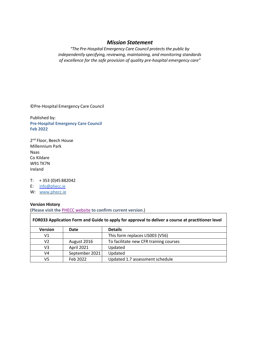## *Mission Statement*

*"The Pre-Hospital Emergency Care Council protectsthe public by independently specifying, reviewing, maintaining, and monitoring standards of excellence for the safe provision of quality pre-hospital emergency care"*

©Pre-Hospital Emergency Care Council

Published by: **Pre-Hospital Emergency Care Council Feb 2022**

2<sup>nd</sup> Floor, Beech House Millennium Park Naas Co Kildare W91 TK7N Ireland

- T: + 353 (0)45 882042
- E: [info@phecc.ie](mailto:info@phecc.ie)
- W: [www.phecc.ie](http://www.phecc.ie/)

#### **Version History**

(**Please visit the** [PHECC website](http://www.phecc.ie/) **to confirm current version**.)

| FOR033 Application Form and Guide to apply for approval to deliver a course at practitioner level |                   |                                        |  |
|---------------------------------------------------------------------------------------------------|-------------------|----------------------------------------|--|
| <b>Version</b>                                                                                    | Date              | <b>Details</b>                         |  |
| V1                                                                                                |                   | This form replaces LIS003 (V56)        |  |
| V <sub>2</sub>                                                                                    | August 2016       | To facilitate new CFR training courses |  |
| V3                                                                                                | <b>April 2021</b> | Updated                                |  |
| V4                                                                                                | September 2021    | Updated                                |  |
| V5                                                                                                | Feb 2022          | Updated 1.7 assessment schedule        |  |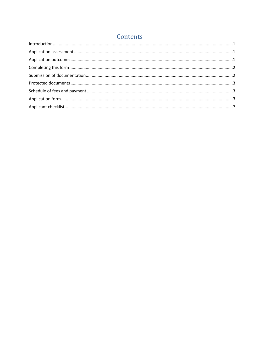# Contents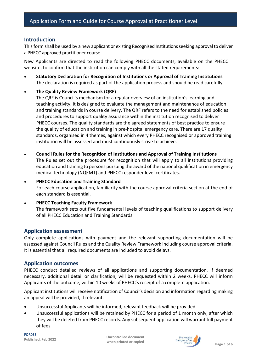#### <span id="page-3-0"></span>**Introduction**

Thisform shall be used by a new applicant or existing Recognised Institutions seeking approval to deliver a PHECC approved practitioner course.

New Applicants are directed to read the following PHECC documents, available on the PHECC website, to confirm that the institution can comply with all the stated requirements:

• **Statutory Declaration for Recognition of Institutions or Approval of Training Institutions** The declaration is required as part of the application process and should be read carefully.

#### • **The Quality Review Framework (QRF)**

The QRF is Council's mechanism for a regular overview of an institution's learning and teaching activity. It is designed to evaluate the management and maintenance of education and training standards in course delivery. The QRF refers to the need for established policies and procedures to support quality assurance within the institution recognised to deliver PHECC courses. The quality standards are the agreed statements of best practice to ensure the quality of education and training in pre-hospital emergency care. There are 17 quality standards, organised in 4 themes, against which every PHECC recognised or approved training institution will be assessed and must continuously strive to achieve.

- **Council Rules for the Recognition of Institutions and Approval of Training Institutions** The Rules set out the procedure for recognition that will apply to all institutions providing education and training to persons pursuing the award of the national qualification in emergency medical technology (NQEMT) and PHECC responder level certificates.
- **PHECC Education and Training Standard**s For each course application, familiarity with the course approval criteria section at the end of each standard is essential.

#### • **PHECC Teaching Faculty Framework**

The framework sets out five fundamental levels of teaching qualifications to support delivery of all PHECC Education and Training Standards.

## <span id="page-3-1"></span>**Application assessment**

Only complete applications with payment and the relevant supporting documentation will be assessed against Council Rules and the Quality Review Framework including course approval criteria. It is essential that all required documents are included to avoid delays.

## <span id="page-3-2"></span>**Application outcomes**

PHECC conduct detailed reviews of all applications and supporting documentation. If deemed necessary, additional detail or clarification, will be requested within 2 weeks. PHECC will inform Applicants of the outcome, within 10 weeks of PHECC's receipt of a complete application.

Applicant institutions will receive notification of Council's decision and information regarding making an appeal will be provided, if relevant.

- Unsuccessful Applicants will be informed, relevant feedback will be provided.
- Unsuccessful applications will be retained by PHECC for a period of 1 month only, after which they will be deleted from PHECC records. Any subsequent application will warrant full payment of fees.

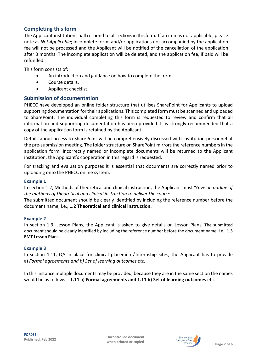## <span id="page-4-0"></span>**Completing this form**

The Applicant institution shall respond to all sections in this form. If an item is not applicable, please note as *Not Applicable*; incomplete forms and/or applications not accompanied by the application fee will not be processed and the Applicant will be notified of the cancellation of the application after 3 months. The incomplete application will be deleted, and the application fee, if paid will be refunded.

This form consists of:

- An introduction and guidance on how to complete the form.
- Course details.
- Applicant checklist.

# <span id="page-4-1"></span>**Submission of documentation**

PHECC have developed an online folder structure that utilises SharePoint for Applicants to upload supporting documentation for their applications. This completed form must be scanned and uploaded to SharePoint. The individual completing this form is requested to review and confirm that all information and supporting documentation has been provided. It is strongly recommended that a copy of the application form is retained by the Applicant.

Details about access to SharePoint will be comprehensively discussed with institution personnel at the pre-submission meeting. The folder structure on SharePoint mirrors the reference numbers in the application form. Incorrectly named or incomplete documents will be returned to the Applicant institution, the Applicant's cooperation in this regard is requested.

For tracking and evaluation purposes it is essential that documents are correctly named prior to uploading onto the PHECC online system:

#### **Example 1**

In section 1.2, Methods of theoretical and clinical instruction, the Applicant must "*Give an outline of the methods of theoretical and clinical instruction to deliver the course".*

The submitted document should be clearly identified by including the reference number before the document name, i.e., **1.2 Theoretical and clinical instruction.**

#### **Example 2**

In section 1.3, Lesson Plans, the Applicant is asked to give details on Lesson Plans. The submitted document should be clearly identified by including the reference number before the document name, i.e., **1.3 EMT Lesson Plans.**

#### **Example 3**

In section 1.11, QA in place for clinical placement/Internship sites, the Applicant has to provide a) *Formal agreements and b) Set of learning outcomes etc.* 

In this instance multiple documents may be provided, because they are in the same section the names would be as follows: **1.11 a) Formal agreements and 1.11 b) Set of learning outcomes** etc.

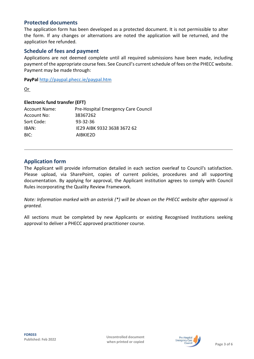## <span id="page-5-0"></span>**Protected documents**

The application form has been developed as a protected document. It is not permissible to alter the form. If any changes or alternations are noted the application will be returned, and the application fee refunded.

## <span id="page-5-1"></span>**Schedule of fees and payment**

Applications are not deemed complete until all required submissions have been made, including payment of the appropriate course fees. See Council's current schedule of fees on the PHECC website. Payment may be made through:

**PayPal** <http://paypal.phecc.ie/paypal.htm>

Or

## **Electronic fund transfer (EFT)**

| <b>Account Name:</b> | Pre-Hospital Emergency Care Council |
|----------------------|-------------------------------------|
| Account No:          | 38367262                            |
| Sort Code:           | $93 - 32 - 36$                      |
| IBAN:                | IE29 AIBK 9332 3638 3672 62         |
| BIC:                 | AIRKIF <sub>7</sub> D               |

## <span id="page-5-2"></span>**Application form**

The Applicant will provide information detailed in each section overleaf to Council's satisfaction. Please upload, via SharePoint, copies of current policies, procedures and all supporting documentation. By applying for approval, the Applicant institution agrees to comply with Council Rules incorporating the Quality Review Framework.

*Note: Information marked with an asterisk (\*) will be shown on the PHECC website after approval is granted.*

All sections must be completed by new Applicants or existing Recognised Institutions seeking approval to deliver a PHECC approved practitioner course.

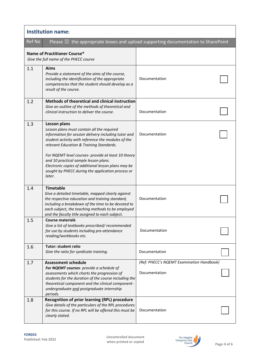|               | <b>Institution name:</b>                                                                                                                                                                                                                                                                     |                                                                                            |  |
|---------------|----------------------------------------------------------------------------------------------------------------------------------------------------------------------------------------------------------------------------------------------------------------------------------------------|--------------------------------------------------------------------------------------------|--|
| <b>Ref No</b> |                                                                                                                                                                                                                                                                                              | Please $\boxtimes$ the appropriate boxes and upload supporting documentation to SharePoint |  |
|               | Name of Practitioner Course*<br>Give the full name of the PHECC course                                                                                                                                                                                                                       |                                                                                            |  |
| 1.1           | Aims<br>Provide a statement of the aims of the course,<br>including the identification of the appropriate<br>competencies that the student should develop as a<br>result of the course.                                                                                                      | Documentation                                                                              |  |
| 1.2           | Methods of theoretical and clinical instruction<br>Give an outline of the methods of theoretical and<br>clinical instruction to deliver the course.                                                                                                                                          | Documentation                                                                              |  |
| 1.3           | <b>Lesson plans</b><br>Lesson plans must contain all the required<br>information for session delivery including tutor and<br>student activity with reference the modules of the<br>relevant Education & Training Standards.                                                                  | Documentation                                                                              |  |
|               | For NQEMT level courses- provide at least 10 theory<br>and 10 practical sample lesson plans.<br>Electronic copies of additional lesson plans may be<br>sought by PHECC during the application process or<br>later.                                                                           |                                                                                            |  |
| 1.4           | <b>Timetable</b><br>Give a detailed timetable, mapped clearly against<br>the respective education and training standard,<br>including a breakdown of the time to be devoted to<br>each subject, the teaching methods to be employed<br>and the faculty title assigned to each subject.       | Documentation                                                                              |  |
| 1.5           | <b>Course materials</b><br>Give a list of textbooks prescribed/recommended<br>for use by students including pre-attendance<br>reading/workbooks etc.                                                                                                                                         | Documentation                                                                              |  |
| 1.6           | <b>Tutor: student ratio</b><br>Give the ratio for syndicate training.                                                                                                                                                                                                                        | Documentation                                                                              |  |
| 1.7           | <b>Assessment schedule</b><br>For NQEMT courses- provide a schedule of<br>assessments which charts the progression of<br>students for the duration of the course including the<br>theoretical component and the clinical component-<br>undergraduate and postgraduate internship<br>periods. | (Ref: PHECC's NQEMT Examination Handbook)<br>Documentation                                 |  |
| 1.8           | Recognition of prior learning (RPL) procedure<br>Give details of the particulars of the RPL procedures<br>for this course. If no RPL will be offered this must be<br>clearly stated.                                                                                                         | Documentation                                                                              |  |

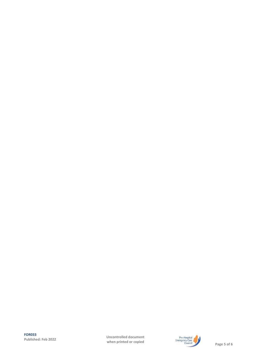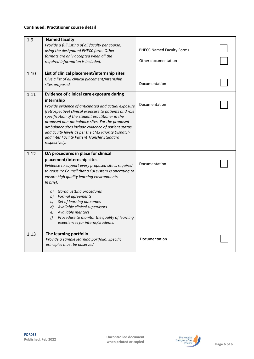#### **Continued: Practitioner course detail**

| 1.9  | <b>Named faculty</b><br>Provide a full listing of all faculty per course,<br>using the designated PHECC form. Other<br>formats are only accepted when all the<br>required information is included.                                                                                                                                                                                                                                                                                                               | <b>PHECC Named Faculty Forms</b><br>Other documentation |  |
|------|------------------------------------------------------------------------------------------------------------------------------------------------------------------------------------------------------------------------------------------------------------------------------------------------------------------------------------------------------------------------------------------------------------------------------------------------------------------------------------------------------------------|---------------------------------------------------------|--|
| 1.10 | List of clinical placement/internship sites<br>Give a list of all clinical placement/internship<br>sites proposed.                                                                                                                                                                                                                                                                                                                                                                                               | Documentation                                           |  |
| 1.11 | <b>Evidence of clinical care exposure during</b><br>internship<br>Provide evidence of anticipated and actual exposure<br>(retrospective) clinical exposure to patients and role<br>specification of the student practitioner in the<br>proposed non-ambulance sites. For the proposed<br>ambulance sites include evidence of patient status<br>and acuity levels as per the EMS Priority Dispatch<br>and Inter Facility Patient Transfer Standard<br>respectively.                                               | Documentation                                           |  |
| 1.12 | QA procedures in place for clinical<br>placement/internship sites<br>Evidence to support every proposed site is required<br>to reassure Council that a QA system is operating to<br>ensure high quality learning environments.<br>In brief:<br>a) Garda vetting procedures<br>Formal agreements<br>b)<br>Set of learning outcomes<br>c)<br>Available clinical supervisors<br>$\overline{d}$<br>Available mentors<br>e)<br>Procedure to monitor the quality of learning<br>f<br>experiences for interns/students. | Documentation                                           |  |
| 1.13 | The learning portfolio<br>Provide a sample learning portfolio. Specific<br>principles must be observed.                                                                                                                                                                                                                                                                                                                                                                                                          | Documentation                                           |  |

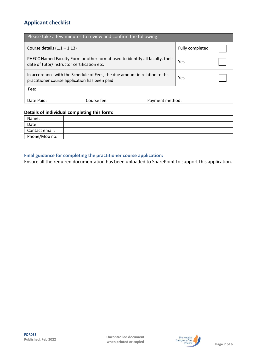# <span id="page-9-0"></span>**Applicant checklist**

| Please take a few minutes to review and confirm the following:                                                                |             |                 |                 |  |
|-------------------------------------------------------------------------------------------------------------------------------|-------------|-----------------|-----------------|--|
| Course details $(1.1 - 1.13)$                                                                                                 |             |                 | Fully completed |  |
| PHECC Named Faculty Form or other format used to identify all faculty, their<br>date of tutor/instructor certification etc.   |             |                 | Yes             |  |
| In accordance with the Schedule of Fees, the due amount in relation to this<br>practitioner course application has been paid: |             |                 | Yes             |  |
| Fee:                                                                                                                          |             |                 |                 |  |
| Date Paid:                                                                                                                    | Course fee: | Payment method: |                 |  |

## **Details of individual completing this form:**

| Name:          |  |
|----------------|--|
| Date:          |  |
| Contact email: |  |
| Phone/Mob no:  |  |

## **Final guidance for completing the practitioner course application:**

Ensure all the required documentation has been uploaded to SharePoint to support this application.